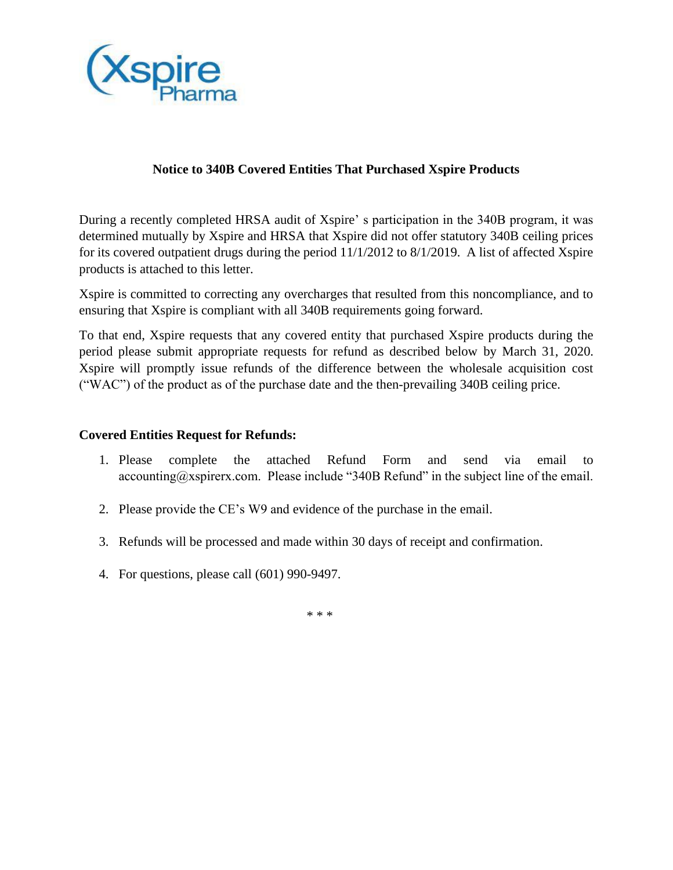

## **Notice to 340B Covered Entities That Purchased Xspire Products**

 During a recently completed HRSA audit of Xspire' s participation in the 340B program, it was for its covered outpatient drugs during the period 11/1/2012 to 8/1/2019. A list of affected Xspire determined mutually by Xspire and HRSA that Xspire did not offer statutory 340B ceiling prices products is attached to this letter.

Xspire is committed to correcting any overcharges that resulted from this noncompliance, and to ensuring that Xspire is compliant with all 340B requirements going forward.

 To that end, Xspire requests that any covered entity that purchased Xspire products during the period please submit appropriate requests for refund as described below by March 31, 2020. Xspire will promptly issue refunds of the difference between the wholesale acquisition cost ("WAC") of the product as of the purchase date and the then-prevailing 340B ceiling price.

## **Covered Entities Request for Refunds:**

- complete the [accounting@xspirerx.com.](mailto:accounting@xspirerx.com) Please include "340B Refund" in the subject line of the email. 1. Please complete the attached Refund Form and send via email to
- 2. Please provide the CE's W9 and evidence of the purchase in the email.
- 3. Refunds will be processed and made within 30 days of receipt and confirmation.
- 4. For questions, please call (601) 990-9497.

\* \* \*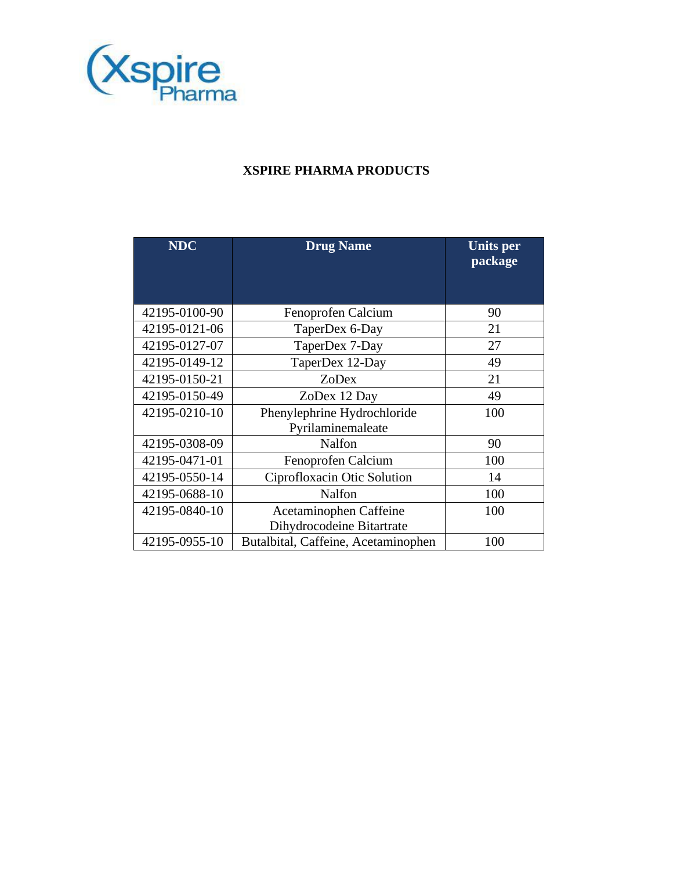

## **XSPIRE PHARMA PRODUCTS**

| <b>NDC</b>    | <b>Drug Name</b>                                 | <b>Units per</b><br>package |  |
|---------------|--------------------------------------------------|-----------------------------|--|
|               |                                                  |                             |  |
| 42195-0100-90 | Fenoprofen Calcium                               | 90                          |  |
| 42195-0121-06 | TaperDex 6-Day                                   | 21                          |  |
| 42195-0127-07 | TaperDex 7-Day                                   | 27                          |  |
| 42195-0149-12 | TaperDex 12-Day                                  | 49                          |  |
| 42195-0150-21 | ZoDex                                            | 21                          |  |
| 42195-0150-49 | ZoDex 12 Day                                     | 49                          |  |
| 42195-0210-10 | Phenylephrine Hydrochloride<br>Pyrilaminemaleate | 100                         |  |
| 42195-0308-09 | Nalfon                                           | 90                          |  |
| 42195-0471-01 | Fenoprofen Calcium                               | 100                         |  |
| 42195-0550-14 | Ciprofloxacin Otic Solution                      | 14                          |  |
| 42195-0688-10 | Nalfon                                           | 100                         |  |
| 42195-0840-10 | Acetaminophen Caffeine                           | 100                         |  |
|               | Dihydrocodeine Bitartrate                        |                             |  |
| 42195-0955-10 | Butalbital, Caffeine, Acetaminophen              | 100                         |  |